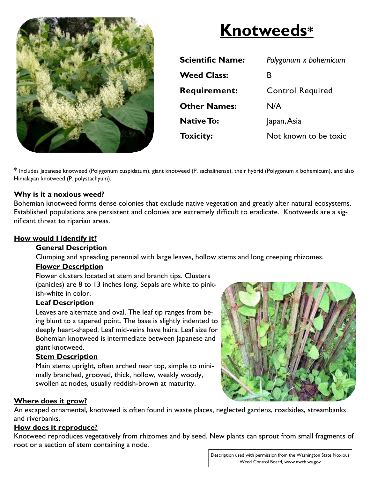

# **Knotweeds\***

| <b>Scientific Name:</b> | Polygonum x bohemicum   |
|-------------------------|-------------------------|
| <b>Weed Class:</b>      | В                       |
| <b>Requirement:</b>     | <b>Control Required</b> |
| <b>Other Names:</b>     | N/A                     |
| <b>Native To:</b>       | Japan, Asia             |
| <b>Toxicity:</b>        | Not known to be toxic   |

\* Includes Japanese knotweed (Polygonum cuspidatum), giant knotweed (P. sachalinense), their hybrid (Polygonum x bohemicum), and also Himalayan knotweed (P. polystachyum).

# **Why is it a noxious weed?**

Bohemian knotweed forms dense colonies that exclude native vegetation and greatly alter natural ecosystems. Established populations are persistent and colonies are extremely difficult to eradicate. Knotweeds are a significant threat to riparian areas.

#### **How would I identify it?**

#### **General Description**

Clumping and spreading perennial with large leaves, hollow stems and long creeping rhizomes.

# **Flower Description**

Flower clusters located at stem and branch tips. Clusters (panicles) are 8 to 13 inches long. Sepals are white to pinkish-white in color.

#### **Leaf Description**

Leaves are alternate and oval. The leaf tip ranges from being blunt to a tapered point. The base is slightly indented to deeply heart-shaped. Leaf mid-veins have hairs. Leaf size for Bohemian knotweed is intermediate between Japanese and giant knotweed.

#### **Stem Description**

Main stems upright, often arched near top, simple to minimally branched, grooved, thick, hollow, weakly woody, swollen at nodes, usually reddish-brown at maturity.

# **Where does it grow?**

An escaped ornamental, knotweed is often found in waste places, neglected gardens, roadsides, streambanks and riverbanks.

#### **How does it reproduce?**

Knotweed reproduces vegetatively from rhizomes and by seed. New plants can sprout from small fragments of root or a section of stem containing a node.



Description used with permission from the Washington State Noxious Weed Control Board, www.nwcb.wa.gov